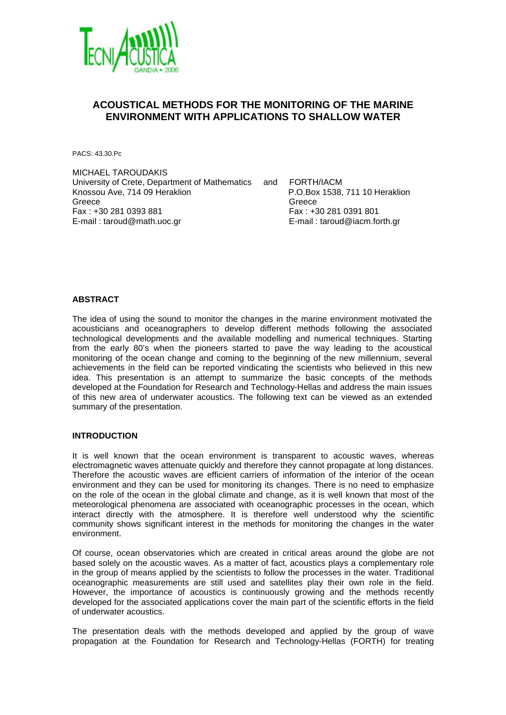

# **ACOUSTICAL METHODS FOR THE MONITORING OF THE MARINE ENVIRONMENT WITH APPLICATIONS TO SHALLOW WATER**

PACS: 43.30.Pc

MICHAEL TAROUDAKIS University of Crete, Department of Mathematics and FORTH/IACM Knossou Ave, 714 09 Heraklion P.O.Box 1538, 711 10 Heraklion Greece Greece Greece Greece Greece Greece Greece Greece Greece Greece Greece Greece Greece Greece Greece G Fax : +30 281 0393 881 Fax : +30 281 0391 801 E-mail : taroud@math.uoc.gr E-mail : taroud@iacm.forth.gr

# **ABSTRACT**

The idea of using the sound to monitor the changes in the marine environment motivated the acousticians and oceanographers to develop different methods following the associated technological developments and the available modelling and numerical techniques. Starting from the early 80's when the pioneers started to pave the way leading to the acoustical monitoring of the ocean change and coming to the beginning of the new millennium, several achievements in the field can be reported vindicating the scientists who believed in this new idea. This presentation is an attempt to summarize the basic concepts of the methods developed at the Foundation for Research and Technology-Hellas and address the main issues of this new area of underwater acoustics. The following text can be viewed as an extended summary of the presentation.

## **INTRODUCTION**

It is well known that the ocean environment is transparent to acoustic waves, whereas electromagnetic waves attenuate quickly and therefore they cannot propagate at long distances. Therefore the acoustic waves are efficient carriers of information of the interior of the ocean environment and they can be used for monitoring its changes. There is no need to emphasize on the role of the ocean in the global climate and change, as it is well known that most of the meteorological phenomena are associated with oceanographic processes in the ocean, which interact directly with the atmosphere. It is therefore well understood why the scientific community shows significant interest in the methods for monitoring the changes in the water environment.

Of course, ocean observatories which are created in critical areas around the globe are not based solely on the acoustic waves. As a matter of fact, acoustics plays a complementary role in the group of means applied by the scientists to follow the processes in the water. Traditional oceanographic measurements are still used and satellites play their own role in the field. However, the importance of acoustics is continuously growing and the methods recently developed for the associated applications cover the main part of the scientific efforts in the field of underwater acoustics.

The presentation deals with the methods developed and applied by the group of wave propagation at the Foundation for Research and Technology-Hellas (FORTH) for treating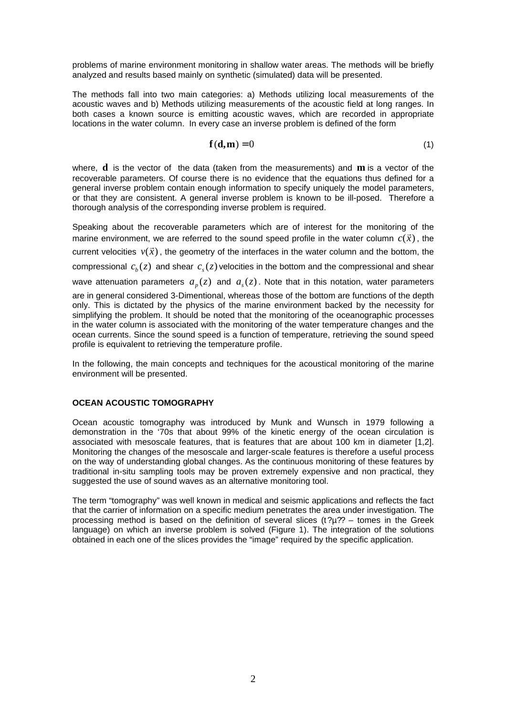problems of marine environment monitoring in shallow water areas. The methods will be briefly analyzed and results based mainly on synthetic (simulated) data will be presented.

The methods fall into two main categories: a) Methods utilizing local measurements of the acoustic waves and b) Methods utilizing measurements of the acoustic field at long ranges. In both cases a known source is emitting acoustic waves, which are recorded in appropriate locations in the water column. In every case an inverse problem is defined of the form

$$
\mathbf{f}(\mathbf{d}, \mathbf{m}) = 0 \tag{1}
$$

where, **d** is the vector of the data (taken from the measurements) and **m** is a vector of the recoverable parameters. Of course there is no evidence that the equations thus defined for a general inverse problem contain enough information to specify uniquely the model parameters, or that they are consistent. A general inverse problem is known to be ill-posed. Therefore a thorough analysis of the corresponding inverse problem is required.

Speaking about the recoverable parameters which are of interest for the monitoring of the  $x$  is about the recoverable parameters which are or interest for the monitoring or the marine environment, we are referred to the sound speed profile in the water column  $c(\vec{x})$ , the  $x_1$ , the geometry of the interfaces in the water column and the bottom, the current velocities  $v(\vec{x})$ , the geometry of the interfaces in the water column and the bottom, the compressional  $c_b(z)$  and shear  $c_s(z)$  velocities in the bottom and the compressional and shear wave attenuation parameters  $a_{p}(z)$  and  $a_{s}(z)$ . Note that in this notation, water parameters are in general considered 3-Dimentional, whereas those of the bottom are functions of the depth only. This is dictated by the physics of the marine environment backed by the necessity for simplifying the problem. It should be noted that the monitoring of the oceanographic processes in the water column is associated with the monitoring of the water temperature changes and the ocean currents. Since the sound speed is a function of temperature, retrieving the sound speed profile is equivalent to retrieving the temperature profile.

In the following, the main concepts and techniques for the acoustical monitoring of the marine environment will be presented.

#### **OCEAN ACOUSTIC TOMOGRAPHY**

Ocean acoustic tomography was introduced by Munk and Wunsch in 1979 following a demonstration in the '70s that about 99% of the kinetic energy of the ocean circulation is associated with mesoscale features, that is features that are about 100 km in diameter [1,2]. Monitoring the changes of the mesoscale and larger-scale features is therefore a useful process on the way of understanding global changes. As the continuous monitoring of these features by traditional in-situ sampling tools may be proven extremely expensive and non practical, they suggested the use of sound waves as an alternative monitoring tool.

The term "tomography" was well known in medical and seismic applications and reflects the fact that the carrier of information on a specific medium penetrates the area under investigation. The processing method is based on the definition of several slices  $(t?\mu$ ?? – tomes in the Greek language) on which an inverse problem is solved (Figure 1). The integration of the solutions obtained in each one of the slices provides the "image" required by the specific application.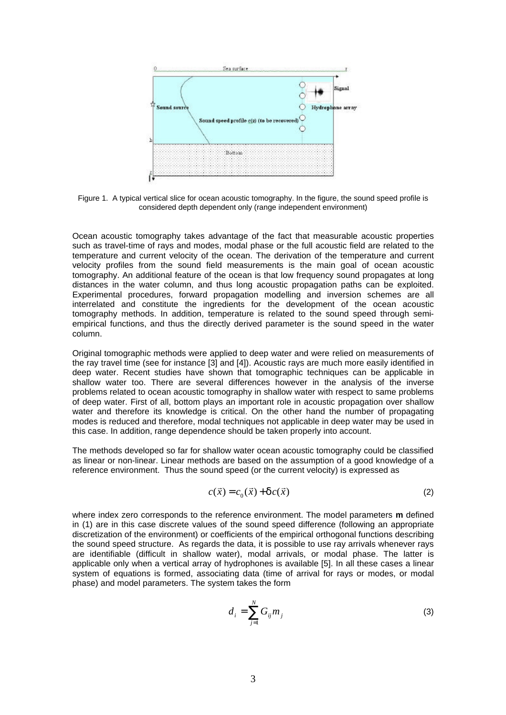

Figure 1. A typical vertical slice for ocean acoustic tomography. In the figure, the sound speed profile is considered depth dependent only (range independent environment)

Ocean acoustic tomography takes advantage of the fact that measurable acoustic properties such as travel-time of rays and modes, modal phase or the full acoustic field are related to the temperature and current velocity of the ocean. The derivation of the temperature and current velocity profiles from the sound field measurements is the main goal of ocean acoustic tomography. An additional feature of the ocean is that low frequency sound propagates at long distances in the water column, and thus long acoustic propagation paths can be exploited. Experimental procedures, forward propagation modelling and inversion schemes are all interrelated and constitute the ingredients for the development of the ocean acoustic tomography methods. In addition, temperature is related to the sound speed through semiempirical functions, and thus the directly derived parameter is the sound speed in the water column.

Original tomographic methods were applied to deep water and were relied on measurements of the ray travel time (see for instance [3] and [4]). Acoustic rays are much more easily identified in deep water. Recent studies have shown that tomographic techniques can be applicable in shallow water too. There are several differences however in the analysis of the inverse problems related to ocean acoustic tomography in shallow water with respect to same problems of deep water. First of all, bottom plays an important role in acoustic propagation over shallow water and therefore its knowledge is critical. On the other hand the number of propagating modes is reduced and therefore, modal techniques not applicable in deep water may be used in this case. In addition, range dependence should be taken properly into account.

The methods developed so far for shallow water ocean acoustic tomography could be classified as linear or non-linear. Linear methods are based on the assumption of a good knowledge of a reference environment. Thus the sound speed (or the current velocity) is expressed as

$$
c(\vec{x}) = c_0(\vec{x}) + \mathbf{d}c(\vec{x})
$$
 (2)

where index zero corresponds to the reference environment. The model parameters **m** defined in (1) are in this case discrete values of the sound speed difference (following an appropriate discretization of the environment) or coefficients of the empirical orthogonal functions describing the sound speed structure. As regards the data, it is possible to use ray arrivals whenever rays are identifiable (difficult in shallow water), modal arrivals, or modal phase. The latter is applicable only when a vertical array of hydrophones is available [5]. In all these cases a linear system of equations is formed, associating data (time of arrival for rays or modes, or modal phase) and model parameters. The system takes the form

$$
d_i = \sum_{j=1}^{N} G_{ij} m_j \tag{3}
$$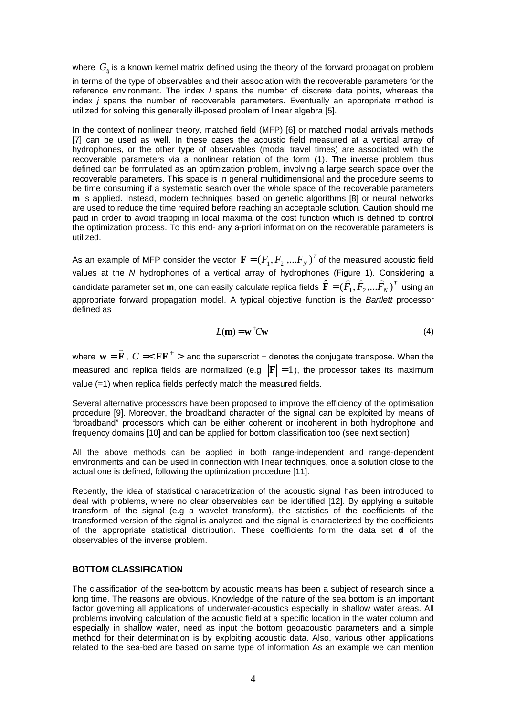where  $G_{ij}$  is a known kernel matrix defined using the theory of the forward propagation problem in terms of the type of observables and their association with the recoverable parameters for the reference environment. The index *I* spans the number of discrete data points, whereas the index *j* spans the number of recoverable parameters. Eventually an appropriate method is utilized for solving this generally ill-posed problem of linear algebra [5].

In the context of nonlinear theory, matched field (MFP) [6] or matched modal arrivals methods [7] can be used as well. In these cases the acoustic field measured at a vertical array of hydrophones, or the other type of observables (modal travel times) are associated with the recoverable parameters via a nonlinear relation of the form (1). The inverse problem thus defined can be formulated as an optimization problem, involving a large search space over the recoverable parameters. This space is in general multidimensional and the procedure seems to be time consuming if a systematic search over the whole space of the recoverable parameters **m** is applied. Instead, modern techniques based on genetic algorithms [8] or neural networks are used to reduce the time required before reaching an acceptable solution. Caution should me paid in order to avoid trapping in local maxima of the cost function which is defined to control the optimization process. To this end- any a-priori information on the recoverable parameters is utilized.

As an example of MFP consider the vector  $\mathbf{F} = (F^{}_1, F^{}_2, ... F^{}_N)^T$  of the measured acoustic field values at the *N* hydrophones of a vertical array of hydrophones (Figure 1). Considering a candidate parameter set **m**, one can easily calculate replica fields  $\hat{\textbf{F}}=(\hat{F_{1}},\hat{F_{2}},...\hat{F_{N}})^{T}$ juie 1*).*<br>≘ ≘ ⊇  $\widehat{\textbf{F}} = (\overline{F}_1, \overline{F}_2, ... \overline{F}_N)^T$  using an appropriate forward propagation model. A typical objective function is the *Bartlett* processor defined as

$$
L(\mathbf{m}) = \mathbf{w}^+ C \mathbf{w} \tag{4}
$$

where  $\mathbf{w} = \mathbf{F}$  $\overline{a}$  $=$   $\hat{\mathbf{F}}$  ,  $C =$   $<$   $\mathbf{F}\mathbf{F}^{+}$   $>$  and the superscript + denotes the conjugate transpose. When the measured and replica fields are normalized (e.g  $\|\mathbf{F}\|=1$ ), the processor takes its maximum value (=1) when replica fields perfectly match the measured fields.

Several alternative processors have been proposed to improve the efficiency of the optimisation procedure [9]. Moreover, the broadband character of the signal can be exploited by means of "broadband" processors which can be either coherent or incoherent in both hydrophone and frequency domains [10] and can be applied for bottom classification too (see next section).

All the above methods can be applied in both range-independent and range-dependent environments and can be used in connection with linear techniques, once a solution close to the actual one is defined, following the optimization procedure [11].

Recently, the idea of statistical characetrization of the acoustic signal has been introduced to deal with problems, where no clear observables can be identified [12]. By applying a suitable transform of the signal (e.g a wavelet transform), the statistics of the coefficients of the transformed version of the signal is analyzed and the signal is characterized by the coefficients of the appropriate statistical distribution. These coefficients form the data set **d** of the observables of the inverse problem.

#### **BOTTOM CLASSIFICATION**

The classification of the sea-bottom by acoustic means has been a subject of research since a long time. The reasons are obvious. Knowledge of the nature of the sea bottom is an important factor governing all applications of underwater-acoustics especially in shallow water areas. All problems involving calculation of the acoustic field at a specific location in the water column and especially in shallow water, need as input the bottom geoacoustic parameters and a simple method for their determination is by exploiting acoustic data. Also, various other applications related to the sea-bed are based on same type of information As an example we can mention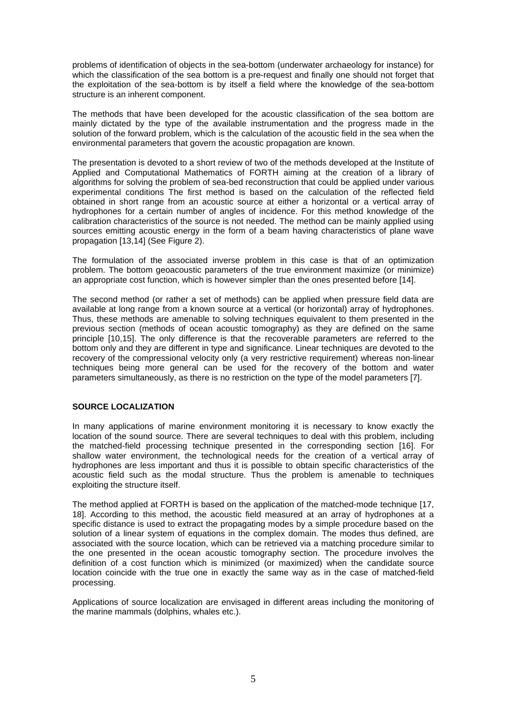problems of identification of objects in the sea-bottom (underwater archaeology for instance) for which the classification of the sea bottom is a pre-request and finally one should not forget that the exploitation of the sea-bottom is by itself a field where the knowledge of the sea-bottom structure is an inherent component.

The methods that have been developed for the acoustic classification of the sea bottom are mainly dictated by the type of the available instrumentation and the progress made in the solution of the forward problem, which is the calculation of the acoustic field in the sea when the environmental parameters that govern the acoustic propagation are known.

The presentation is devoted to a short review of two of the methods developed at the Institute of Applied and Computational Mathematics of FORTH aiming at the creation of a library of algorithms for solving the problem of sea-bed reconstruction that could be applied under various experimental conditions The first method is based on the calculation of the reflected field obtained in short range from an acoustic source at either a horizontal or a vertical array of hydrophones for a certain number of angles of incidence. For this method knowledge of the calibration characteristics of the source is not needed. The method can be mainly applied using sources emitting acoustic energy in the form of a beam having characteristics of plane wave propagation [13,14] (See Figure 2).

The formulation of the associated inverse problem in this case is that of an optimization problem. The bottom geoacoustic parameters of the true environment maximize (or minimize) an appropriate cost function, which is however simpler than the ones presented before [14].

The second method (or rather a set of methods) can be applied when pressure field data are available at long range from a known source at a vertical (or horizontal) array of hydrophones. Thus, these methods are amenable to solving techniques equivalent to them presented in the previous section (methods of ocean acoustic tomography) as they are defined on the same principle [10,15]. The only difference is that the recoverable parameters are referred to the bottom only and they are different in type and significance. Linear techniques are devoted to the recovery of the compressional velocity only (a very restrictive requirement) whereas non-linear techniques being more general can be used for the recovery of the bottom and water parameters simultaneously, as there is no restriction on the type of the model parameters [7].

# **SOURCE LOCALIZATION**

In many applications of marine environment monitoring it is necessary to know exactly the location of the sound source. There are several techniques to deal with this problem, including the matched-field processing technique presented in the corresponding section [16]. For shallow water environment, the technological needs for the creation of a vertical array of hydrophones are less important and thus it is possible to obtain specific characteristics of the acoustic field such as the modal structure. Thus the problem is amenable to techniques exploiting the structure itself.

The method applied at FORTH is based on the application of the matched-mode technique [17, 18]. According to this method, the acoustic field measured at an array of hydrophones at a specific distance is used to extract the propagating modes by a simple procedure based on the solution of a linear system of equations in the complex domain. The modes thus defined, are associated with the source location, which can be retrieved via a matching procedure similar to the one presented in the ocean acoustic tomography section. The procedure involves the definition of a cost function which is minimized (or maximized) when the candidate source location coincide with the true one in exactly the same way as in the case of matched-field processing.

Applications of source localization are envisaged in different areas including the monitoring of the marine mammals (dolphins, whales etc.).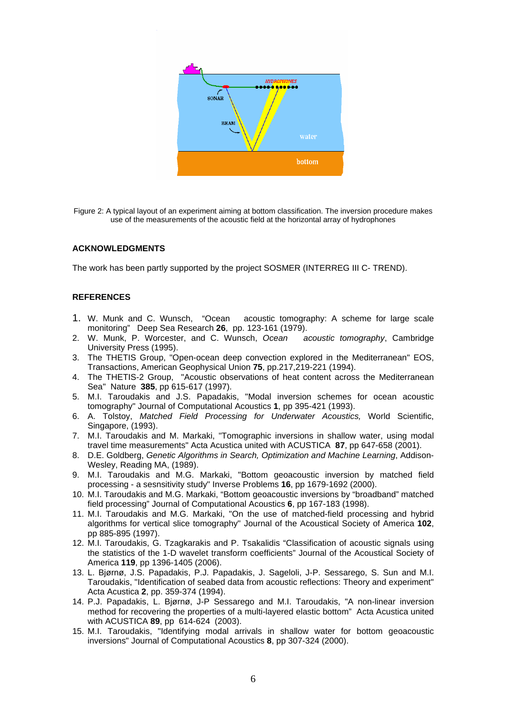

Figure 2: A typical layout of an experiment aiming at bottom classification. The inversion procedure makes use of the measurements of the acoustic field at the horizontal array of hydrophones

## **ACKNOWLEDGMENTS**

The work has been partly supported by the project SOSMER (INTERREG III C- TREND).

## **REFERENCES**

- 1. W. Munk and C. Wunsch, "Ocean acoustic tomography: A scheme for large scale monitoring" Deep Sea Research **26**, pp. 123-161 (1979).
- 2. W. Munk, P. Worcester, and C. Wunsch, *Ocean acoustic tomography*, Cambridge University Press (1995).
- 3. The THETIS Group, "Open-ocean deep convection explored in the Mediterranean" EOS, Transactions, American Geophysical Union **75**, pp.217,219-221 (1994).
- 4. The THETIS-2 Group, "Acoustic observations of heat content across the Mediterranean Sea" Nature **385**, pp 615-617 (1997).
- 5. M.I. Taroudakis and J.S. Papadakis, "Modal inversion schemes for ocean acoustic tomography" Journal of Computational Acoustics **1**, pp 395-421 (1993).
- 6. A. Tolstoy, *Matched Field Processing for Underwater Acoustics,* World Scientific, Singapore, (1993).
- 7. M.I. Taroudakis and M. Markaki, "Tomographic inversions in shallow water, using modal travel time measurements" Acta Acustica united with ACUSTICA **87**, pp 647-658 (2001).
- 8. D.E. Goldberg, *Genetic Algorithms in Search, Optimization and Machine Learning*, Addison-Wesley, Reading MA, (1989).
- 9. M.I. Taroudakis and M.G. Markaki, "Bottom geoacoustic inversion by matched field processing - a sesnsitivity study" Inverse Problems **16**, pp 1679-1692 (2000).
- 10. M.I. Taroudakis and M.G. Markaki, "Bottom geoacoustic inversions by "broadband" matched field processing" Journal of Computational Acoustics **6**, pp 167-183 (1998).
- 11. M.I. Taroudakis and M.G. Markaki, "On the use of matched-field processing and hybrid algorithms for vertical slice tomography" Journal of the Acoustical Society of America **102**, pp 885-895 (1997).
- 12. M.I. Taroudakis, G. Tzagkarakis and P. Tsakalidis "Classification of acoustic signals using the statistics of the 1-D wavelet transform coefficients" Journal of the Acoustical Society of America **119**, pp 1396-1405 (2006).
- 13. L. Bjørnø, J.S. Papadakis, P.J. Papadakis, J. Sageloli, J-P. Sessarego, S. Sun and M.I. Taroudakis, "Identification of seabed data from acoustic reflections: Theory and experiment" Acta Acustica **2**, pp. 359-374 (1994).
- 14. P.J. Papadakis, L. Bjørnø, J-P Sessarego and M.I. Taroudakis, "A non-linear inversion method for recovering the properties of a multi-layered elastic bottom" Acta Acustica united with ACUSTICA **89**, pp 614-624 (2003).
- 15. M.I. Taroudakis, "Identifying modal arrivals in shallow water for bottom geoacoustic inversions" Journal of Computational Acoustics **8**, pp 307-324 (2000).